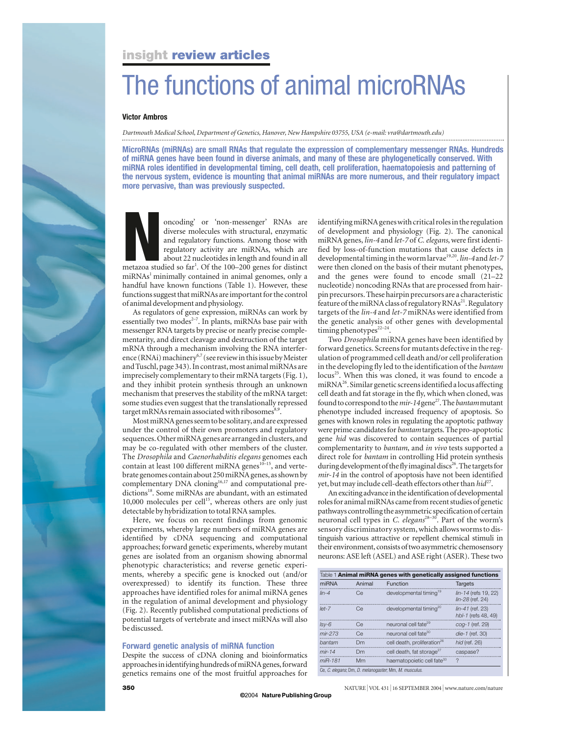# **insight review articles**

# The functions of animal microRNAs

## **Victor Ambros**

*Dartmouth Medical School, Department of Genetics, Hanover, New Hampshire 03755, USA (e-mail: vra@dartmouth.edu)*

**MicroRNAs (miRNAs) are small RNAs that regulate the expression of complementary messenger RNAs. Hundreds of miRNA genes have been found in diverse animals, and many of these are phylogenetically conserved. With miRNA roles identified in developmental timing, cell death, cell proliferation, haematopoiesis and patterning of the nervous system, evidence is mounting that animal miRNAs are more numerous, and their regulatory impact more pervasive, than was previously suspected.** 



oncoding' or 'non-messenger' RNAs are<br>diverse molecules with structural, enzymatic<br>and regulatory functions. Among those with<br>regulatory activity are miRNAs, which are<br>about 22 nucleotides in length and found in all<br>metazo diverse molecules with structural, enzymatic and regulatory functions. Among those with regulatory activity are miRNAs, which are about 22 nucleotides in length and found in all

 $m$ iRNAs<sup>1</sup> minimally contained in animal genomes, only a handful have known functions (Table 1). However, these functions suggest that miRNAs are important for the control of animal development and physiology.

As regulators of gene expression, miRNAs can work by essentially two modes<sup> $2-7$ </sup>. In plants, miRNAs base pair with messenger RNA targets by precise or nearly precise complementarity, and direct cleavage and destruction of the target mRNA through a mechanism involving the RNA interference (RNAi) machinery<sup>6,7</sup> (see review in this issue by Meister and Tuschl, page 343). In contrast, most animal miRNAs are imprecisely complementary to their mRNA targets (Fig. 1), and they inhibit protein synthesis through an unknown mechanism that preserves the stability of the mRNA target: some studies even suggest that the translationally repressed target mRNAs remain associated with ribosomes<sup>8,9</sup>.

Most miRNA genes seem to be solitary, and are expressed under the control of their own promoters and regulatory sequences. Other miRNA genes are arranged in clusters, and may be co-regulated with other members of the cluster. The *Drosophila* and *Caenorhabditis elegans* genomes each contain at least 100 different miRNA genes $10^{-15}$ , and vertebrate genomes contain about 250 miRNA genes, as shown by complementary DNA cloning<sup>16,17</sup> and computational predictions<sup>18</sup>. Some miRNAs are abundant, with an estimated 10,000 molecules per cell $15$ , whereas others are only just detectable by hybridization to total RNA samples.

Here, we focus on recent findings from genomic experiments, whereby large numbers of miRNA genes are identified by cDNA sequencing and computational approaches; forward genetic experiments, whereby mutant genes are isolated from an organism showing abnormal phenotypic characteristics; and reverse genetic experiments, whereby a specific gene is knocked out (and/or overexpressed) to identify its function. These three approaches have identified roles for animal miRNA genes in the regulation of animal development and physiology (Fig. 2). Recently published computational predictions of potential targets of vertebrate and insect miRNAs will also be discussed.

## **Forward genetic analysis of miRNA function**

Despite the success of cDNA cloning and bioinformatics approaches in identifying hundreds of miRNA genes, forward genetics remains one of the most fruitful approaches for

identifying miRNA genes with critical roles in the regulation of development and physiology (Fig. 2). The canonical miRNA genes, *lin-4* and *let-7* of *C. elegans*, were first identified by loss-of-function mutations that cause defects in developmental timing in the worm larvae<sup>19,20</sup>. *lin-4* and *let-7* were then cloned on the basis of their mutant phenotypes, and the genes were found to encode small (21–22 nucleotide) noncoding RNAs that are processed from hairpin precursors. These hairpin precursors are a characteristic feature of the miRNA class of regulatory RNAs<sup>21</sup>. Regulatory targets of the *lin-4* and *let-7* miRNAs were identified from the genetic analysis of other genes with developmental timing phenotypes<sup>22-24</sup>.

Two *Drosophila* miRNA genes have been identified by forward genetics. Screens for mutants defective in the regulation of programmed cell death and/or cell proliferation in the developing fly led to the identification of the *bantam* locus<sup>25</sup>. When this was cloned, it was found to encode a miRNA $^{26}$ . Similar genetic screens identified a locus affecting cell death and fat storage in the fly, which when cloned, was found to correspond to the *mir-14* gene<sup>27</sup>. The *bantam* mutant phenotype included increased frequency of apoptosis. So genes with known roles in regulating the apoptotic pathway were prime candidates for *bantam* targets. The pro-apoptotic gene *hid* was discovered to contain sequences of partial complementarity to *bantam*, and *in vivo* tests supported a direct role for *bantam* in controlling Hid protein synthesis during development of the fly imaginal discs<sup>26</sup>. The targets for *mir-14* in the control of apoptosis have not been identified yet, but may include cell-death effectors other than  $hid^{27}$ .

Anexciting advance in the identification of developmental roles for animal miRNAs came from recent studies of genetic pathways controlling the asymmetric specification of certain neuronal cell types in *C. elegans*28–30. Part of the worm's sensory discriminatory system, which allows worms to distinguish various attractive or repellent chemical stimuli in their environment, consists of two asymmetric chemosensory neurons:ASE left (ASEL) and ASE right (ASER). These two

| Table 1 Animal miRNA genes with genetically assigned functions |        |                                         |                                           |
|----------------------------------------------------------------|--------|-----------------------------------------|-------------------------------------------|
| miRNA                                                          | Animal | Function                                | <b>Targets</b>                            |
| $lin-4$                                                        | Ce     | developmental timing <sup>19</sup>      | lin-14 (refs 19, 22)<br>lin-28 (ref. 24)  |
| $let-7$                                                        | Ce     | developmental timing <sup>20</sup>      | $lin-41$ (ref. 23)<br>hbl-1 (refs 48, 49) |
| $Isv-6$                                                        | Ce     | neuronal cell fate <sup>29</sup>        | cog-1 (ref. 29)                           |
| $mir-273$                                                      | Ce     | neuronal cell fate <sup>30</sup>        | die-1 (ref. 30)                           |
| bantam                                                         | Dm     | cell death, proliferation <sup>26</sup> | hid (ref. 26)                             |
| $mir-14$                                                       | Dm     | cell death, fat storage <sup>27</sup>   | caspase?                                  |
| miR-181                                                        | Mm     | haematopoietic cell fate <sup>33</sup>  | 2                                         |
| Ce, C. elegans, Dm, D. melanogaster, Mm, M. musculus.          |        |                                         |                                           |

**©** 2004 **NaturePublishingGroup**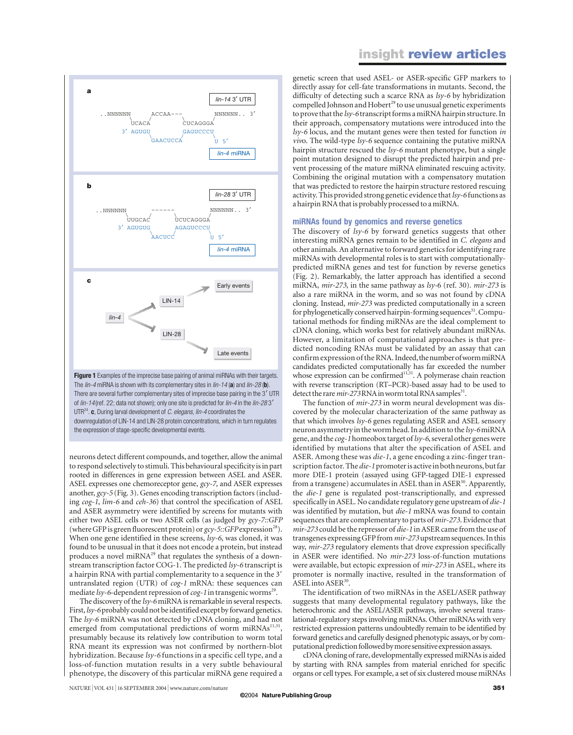



**Figure 1** Examples of the imprecise base pairing of animal miRNAs with their targets. The *lin-4* miRNA is shown with its complementary sites in *lin-14* (**a**) and *lin-28* (**b**). There are several further complementary sites of imprecise base pairing in the 3' UTR of *lin-14*(ref. 22; data not shown); only one site is predicted for *lin-4* in the *lin-28* 3 UTR24. **c**, During larval development of *C. elegans*, *lin-4* coordinates the downregulation of LIN-14 and LIN-28 protein concentrations, which in turn regulates the expression of stage-specific developmental events.

neurons detect different compounds, and together, allow the animal to respond selectively to stimuli. This behavioural specificity is in part rooted in differences in gene expression between ASEL and ASER. ASEL expresses one chemoreceptor gene, *gcy-7*, and ASER expresses another, *gcy-5* (Fig. 3). Genes encoding transcription factors (including *cog-1*, *lim-6* and *ceh-36*) that control the specification of ASEL and ASER asymmetry were identified by screens for mutants with either two ASEL cells or two ASER cells (as judged by *gcy-7::GFP* (where GFP is green fluorescent protein) or  $gcy$ -5::GFP expression<sup>28</sup>). When one gene identified in these screens, *lsy-6*, was cloned, it was found to be unusual in that it does not encode a protein, but instead produces a novel miRNA<sup>29</sup> that regulates the synthesis of a downstream transcription factor COG-1. The predicted *lsy-6* transcript is a hairpin RNA with partial complementarity to a sequence in the 3 untranslated region (UTR) of *cog-1* mRNA: these sequences can mediate *lsy*-6-dependent repression of *cog*-1 in transgenic worms<sup>29</sup>.

The discovery of the *lsy-6* miRNA is remarkable in several respects. First, *lsy-6*probably could not be identified except by forward genetics. The *lsy-6* miRNA was not detected by cDNA cloning, and had not emerged from computational predictions of worm miRNAs<sup>11,31</sup>, presumably because its relatively low contribution to worm total RNA meant its expression was not confirmed by northern-blot hybridization. Because *lsy-6* functions in a specific cell type, and a loss-of-function mutation results in a very subtle behavioural phenotype, the discovery of this particular miRNA gene required a genetic screen that used ASEL- or ASER-specific GFP markers to directly assay for cell-fate transformations in mutants. Second, the difficulty of detecting such a scarce RNA as *lsy-6* by hybridization compelled Johnson and Hobert<sup>29</sup> to use unusual genetic experiments toprove that the *lsy-6* transcript forms a miRNA hairpin structure. In their approach, compensatory mutations were introduced into the *lsy-6* locus, and the mutant genes were then tested for function *in viv*o. The wild-type *lsy-6* sequence containing the putative miRNA hairpin structure rescued the *lsy-6* mutant phenotype, but a single point mutation designed to disrupt the predicted hairpin and prevent processing of the mature miRNA eliminated rescuing activity. Combining the original mutation with a compensatory mutation that was predicted to restore the hairpin structure restored rescuing activity. This provided strong genetic evidence that *lsy-6* functions as a hairpin RNA that is probably processed to a miRNA.

#### **miRNAs found by genomics and reverse genetics**

The discovery of *lsy-6* by forward genetics suggests that other interesting miRNA genes remain to be identified in *C. elegans* and other animals. An alternative to forward genetics for identifying rare miRNAs with developmental roles is to start with computationallypredicted miRNA genes and test for function by reverse genetics (Fig. 2). Remarkably, the latter approach has identified a second miRNA, *mir-273*, in the same pathway as *lsy-*6 (ref. 30). *mir-273* is also a rare miRNA in the worm, and so was not found by cDNA cloning. Instead, *mir-273* was predicted computationally in a screen for phylogenetically conserved hairpin-forming sequences<sup>31</sup>. Computational methods for finding miRNAs are the ideal complement to cDNA cloning, which works best for relatively abundant miRNAs. However, a limitation of computational approaches is that predicted noncoding RNAs must be validated by an assay that can confirm expression of the RNA. Indeed, the number of worm miRNA candidates predicted computationally has far exceeded the number whose expression can be confirmed $\lim_{n \to \infty} A$  polymerase chain reaction with reverse transcription (RT–PCR)-based assay had to be used to detect the rare  $mir-273$ RNA in worm total RNA samples<sup>31</sup>.

The function of *mir-273* in worm neural development was discovered by the molecular characterization of the same pathway as that which involves *lsy-6* genes regulating ASER and ASEL sensory neuron asymmetry in the worm head. In addition to the *lsy-6* miRNA gene, and the *cog-1*homeobox target of *lsy-6*, several other genes were identified by mutations that alter the specification of ASEL and ASER. Among these was *die-1*, a gene encoding a zinc-finger transcription factor. The *die-1*promoter is active in both neurons, but far more DIE-1 protein (assayed using GFP-tagged DIE-1 expressed from a transgene) accumulates in ASEL than in ASER<sup>30</sup>. Apparently, the *die-1* gene is regulated post-transcriptionally, and expressed specifically in ASEL. No candidate regulatory gene upstream of *die-1* was identified by mutation, but *die-1* mRNA was found to contain sequences that are complementary to parts of *mir-273*. Evidence that *mir-273* could be the repressor of *die-1* in ASER came from the use of transgenes expressing GFP from *mir-273* upstream sequences. In this way, *mir-273* regulatory elements that drove expression specifically in ASER were identified. No *mir-273* loss-of-function mutations were available, but ectopic expression of *mir-273* in ASEL, where its promoter is normally inactive, resulted in the transformation of ASEL into  $ASER^{30}$ .

The identification of two miRNAs in the ASEL/ASER pathway suggests that many developmental regulatory pathways, like the heterochronic and the ASEL/ASER pathways, involve several translational-regulatory steps involving miRNAs. Other miRNAs with very restricted expression patterns undoubtedly remain to be identified by forward genetics and carefully designed phenotypic assays, or by computational prediction followed by more sensitive expression assays.

cDNA cloning of rare, developmentally expressed miRNAs is aided by starting with RNA samples from material enriched for specific organs or cell types. For example, a set of six clustered mouse miRNAs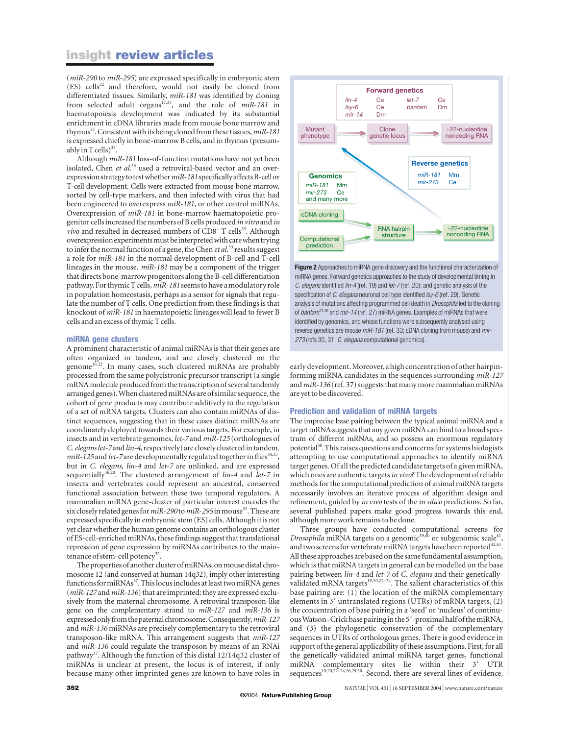## **insight review articles**

(*miR-290* to *miR-295*) are expressed specifically in embryonic stem (ES) cells<sup>32</sup> and therefore, would not easily be cloned from differentiated tissues. Similarly, *miR-181* was identified by cloning from selected adult organs<sup>17,33</sup>, and the role of *miR-181* in haematopoiesis development was indicated by its substantial enrichment in cDNA libraries made from mouse bone marrow and thymus<sup>33</sup>. Consistent with its being cloned from these tissues, *miR-181* is expressed chiefly in bone-marrow B cells, and in thymus (presumably in T cells) $33$ .

Although *miR-181* loss-of-function mutations have not yet been isolated, Chen et al.<sup>33</sup> used a retroviral-based vector and an overexpression strategy to test whether *miR-181*specifically affects B-cell or T-cell development. Cells were extracted from mouse bone marrow, sorted by cell-type markers, and then infected with virus that had been engineered to overexpress *miR-181*, or other control miRNAs. Overexpression of *miR-181* in bone-marrow haematopoietic progenitor cells increased the numbers of B cells produced *in vitro* and *in vivo* and resulted in decreased numbers of  $CD8<sup>+</sup>$  T cells<sup>33</sup>. Although overexpression experiments must be interpreted with care when trying to infer the normal function of a gene, the Chen *et al.*<sup>33</sup> results suggest a role for *miR-181* in the normal development of B-cell and T-cell lineages in the mouse. *miR-181* may be a component of the trigger that directs bone-marrow progenitors along the B-cell differentiation pathway. For thymic T cells, *miR-181* seems to have a modulatory role in population homeostasis, perhaps as a sensor for signals that regulate the number of T cells. One prediction from these findings is that knockout of *miR-181* in haematopoietic lineages will lead to fewer B cells and an excess of thymic T cells.

#### **miRNA gene clusters**

A prominent characteristic of animal miRNAs is that their genes are often organized in tandem, and are closely clustered on the genome<sup>10,32</sup>. In many cases, such clustered miRNAs are probably processed from the same polycistronic precursor transcript (a single mRNA molecule produced from the transcription of several tandemly arranged genes).When clustered miRNAs are of similar sequence, the cohort of gene products may contribute additively to the regulation of a set of mRNA targets. Clusters can also contain miRNAs of distinct sequences, suggesting that in these cases distinct miRNAs are coordinately deployed towards their various targets. For example, in insects and in vertebrate genomes, *let-7* and *miR-125* (orthologues of *C. elegans let-7* and *lin-4*, respectively) are closely clustered in tandem. *miR-125* and *let-7* are developmentally regulated together in flies<sup>34,35</sup>, but in *C. elegans*, *lin-4* and *let-7* are unlinked, and are expressed sequentially<sup>36,20</sup>. The clustered arrangement of *lin-4* and *let-7* in insects and vertebrates could represent an ancestral, conserved functional association between these two temporal regulators. A mammalian miRNA gene-cluster of particular interest encodes the six closely related genes for  $miR-290$  to  $miR-295$  in mouse<sup>32</sup>. These are expressed specifically in embryonic stem (ES) cells. Although it is not yet clear whether the human genome contains an orthologous cluster ofES-cell-enriched miRNAs, these findings suggest that translational repression of gene expression by miRNAs contributes to the maintenance of stem-cell potency<sup>32</sup>.

The properties of another cluster of miRNAs, on mouse distal chromosome 12 (and conserved at human 14q32), imply other interesting functions for miRNAs $37$ . This locus includes at least two miRNA genes (*miR-127* and *miR-136*) that are imprinted: they are expressed exclusively from the maternal chromosome. A retroviral transposon-like gene on the complementary strand to *miR-127* and *miR-136* is expressed only from the paternal chromosome. Consequently, *miR-127* and *miR-136* miRNAs are precisely complementary to the retroviral transposon-like mRNA. This arrangement suggests that *miR-127* and *miR-136* could regulate the transposon by means of an RNAi pathway<sup>37</sup>. Although the function of this distal  $12/14q32$  cluster of miRNAs is unclear at present, the locus is of interest, if only because many other imprinted genes are known to have roles in



**Figure 2** Approaches to miRNA gene discovery and the functional characterization of miRNA genes. Forward genetics approaches to the study of developmental timing in *C. elegans* identified *lin-4* (ref. 19) and *let-7* (ref. 20); and genetic analysis of the specification of *C. elegans* neuronal cell type identified *lsy-6* (ref. 29). Genetic analysis of mutations affecting programmed cell death in *Drosophila* led to the cloning of *bantam*25,26 and *mir-14* (ref. 27) miRNA genes. Examples of miRNAs that were identified by genomics, and whose functions were subsequently analysed using reverse genetics are mouse *miR-181* (ref. 33; cDNA cloning from mouse) and *mir-273* (refs 30, 31; *C. elegans* computational genomics).

early development. Moreover, a high concentration of other hairpinforming miRNA candidates in the sequences surrounding *miR-127* and *miR-136* (ref. 37) suggests that many more mammalian miRNAs are yet to be discovered.

### **Prediction and validation of miRNA targets**

The imprecise base pairing between the typical animal miRNA and a target mRNA suggests that any given miRNA can bind to a broad spectrum of different mRNAs, and so possess an enormous regulatory potential38. This raises questions and concerns for systems biologists attempting to use computational approaches to identify miRNA target genes. Of all the predicted candidate targets of a given miRNA, which ones are authentic targets*in vivo*? The development of reliable methods for the computational prediction of animal miRNA targets necessarily involves an iterative process of algorithm design and refinement, guided by *in vivo* tests of the *in silico* predictions. So far, several published papers make good progress towards this end, although more work remains to be done.

Three groups have conducted computational screens for *Drosophila* miRNA targets on a genomic<sup>39, $\hat{4}$ 0 or subgenomic scale<sup>41</sup></sup> and two screens for vertebrate miRNA targets have been reported<sup>42,43</sup>. All these approaches are based on the same fundamental assumption, which is that miRNA targets in general can be modelled on the base pairing between *lin-4* and *let-7* of *C. elegans* and their geneticallyvalidated mRNA targets<sup>19,20,22-24</sup>. The salient characteristics of this base pairing are: (1) the location of the miRNA complementary elements in  $3'$  untranslated regions (UTRs) of mRNA targets,  $(2)$ the concentration of base pairing in a 'seed' or 'nucleus' of continuous Watson–Crick base pairing in the 5'-proximal half of the miRNA, and (3) the phylogenetic conservation of the complementary sequences in UTRs of orthologous genes. There is good evidence in support of the general applicability of these assumptions. First, for all the genetically-validated animal miRNA target genes, functional miRNA complementary sites lie within their 3' UTR sequences<sup>19,20,22-24,26,29,30</sup>. Second, there are several lines of evidence,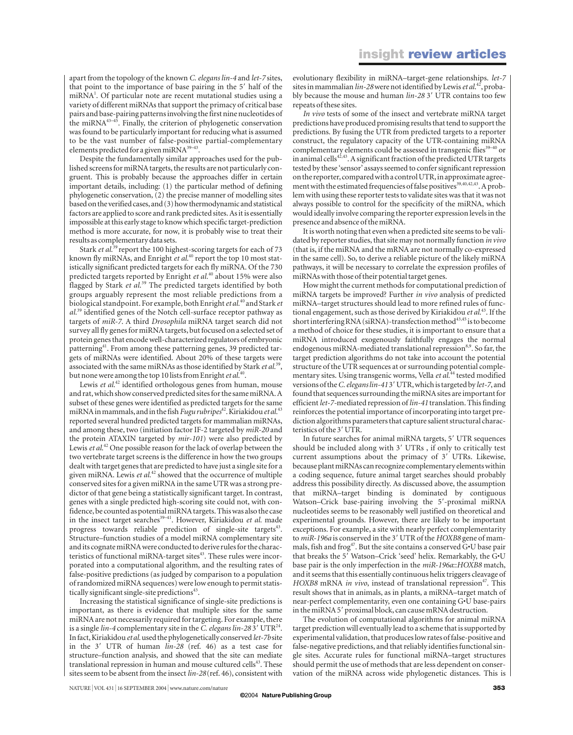apart from the topology of the known *C. elegans lin-4* and *let-7* sites, that point to the importance of base pairing in the 5' half of the miRNA<sup>1</sup>. Of particular note are recent mutational studies using a variety of different miRNAs that support the primacy of critical base pairs and base-pairing patterns involving the first nine nucleotides of the miRNA43–45. Finally, the criterion of phylogenetic conservation was found to be particularly important for reducing what is assumed to be the vast number of false-positive partial-complementary elements predicted for a given miRNA<sup>39-43</sup>.

Despite the fundamentally similar approaches used for the published screens for miRNA targets, the results are not particularly congruent. This is probably because the approaches differ in certain important details, including: (1) the particular method of defining phylogenetic conservation, (2) the precise manner of modelling sites based on the verified cases, and (3) how thermodynamic and statistical factors are applied to score and rank predicted sites. As it is essentially impossible at this early stage to know which specific target-prediction method is more accurate, for now, it is probably wise to treat their results as complementary data sets.

Stark *et al.*<sup>39</sup> report the 100 highest-scoring targets for each of 73 known fly miRNAs, and Enright *et al.*<sup>40</sup> report the top 10 most statistically significant predicted targets for each fly miRNA. Of the 730 predicted targets reported by Enright *et al.*<sup>40</sup> about 15% were also flagged by Stark *et al*. <sup>39</sup> The predicted targets identified by both groups arguably represent the most reliable predictions from a biological standpoint. For example, both Enright *et al.*<sup>40</sup> and Stark *et al.*<sup>39</sup> identified genes of the Notch cell-surface receptor pathway as targets of *miR-7*. A third *Drosophila* miRNA target search did not survey all fly genes for miRNA targets, but focused on a selected set of protein genes that encode well-characterized regulators of embryonic patterning<sup>41</sup>. From among these patterning genes, 39 predicted targets of miRNAs were identified. About 20% of these targets were associated with the same miRNAs as those identified by Stark *et al.*<sup>39</sup>, but none were among the top 10 lists from Enright *et al*. 40.

Lewis *et al.*<sup>42</sup> identified orthologous genes from human, mouse and rat, which show conserved predicted sites for the same miRNA. A subset of these genes were identified as predicted targets for the same miRNA in mammals, and in the fish *Fugu rubripes*42.Kiriakidou *et al.*<sup>43</sup> reported several hundred predicted targets for mammalian miRNAs, and among these, two (initiation factor IF-2 targeted by *miR-20* and the protein ATAXIN targeted by *mir-101*) were also predicted by Lewis *et al*. <sup>42</sup> One possible reason for the lack of overlap between the two vertebrate target screens is the difference in how the two groups dealt with target genes that are predicted to have just a single site for a given miRNA. Lewis *et al.*<sup>42</sup> showed that the occurrence of multiple conserved sites for a given miRNA in the same UTR was a strong predictor of that gene being a statistically significant target. In contrast, genes with a single predicted high-scoring site could not, with confidence, be counted as potential miRNA targets. This was also the case in the insect target searches<sup>39-41</sup>. However, Kiriakidou et al. made progress towards reliable prediction of single-site targets<sup>43</sup>. Structure–function studies of a model miRNA complementary site and its cognate miRNA were conducted to derive rules for the characteristics of functional miRNA-target sites<sup>43</sup>. These rules were incorporated into a computational algorithm, and the resulting rates of false-positive predictions (as judged by comparison to a population of randomized miRNA sequences) were low enough to permit statistically significant single-site predictions $43$ .

Increasing the statistical significance of single-site predictions is important, as there is evidence that multiple sites for the same miRNA are not necessarily required for targeting. For example, there is a single *lin-4* complementary site in the *C. elegans lin-283'* UTR<sup>24</sup>. Infact, Kiriakidou *et al.*used the phylogenetically conserved *let-7b*site in the 3' UTR of human *lin-28* (ref. 46) as a test case for structure–function analysis, and showed that the site can mediate translational repression in human and mouse cultured cells<sup>43</sup>. These sites seem to be absent from the insect *lin-28*(ref. 46), consistent with

evolutionary flexibility in miRNA–target-gene relationships. *let-7* sites in mammalian *lin-28*werenot identified by Lewis *et al*. 42, probably because the mouse and human *lin-28* 3' UTR contains too few repeats of these sites.

*In vivo* tests of some of the insect and vertebrate miRNA target predictions have produced promising results that tend to support the predictions. By fusing the UTR from predicted targets to a reporter construct, the regulatory capacity of the UTR-containing miRNA complementary elements could be assessed in transgenic flies<sup>39-40</sup> or in animal cells<sup>42,43</sup>. A significant fraction of the predicted UTR targets tested by these 'sensor' assays seemed to confer significant repression on the reporter, compared with a control UTR, in approximate agreement with the estimated frequencies of false positives<sup>39,40,42,43</sup>. A problem with using these reporter tests to validate sites was that it was not always possible to control for the specificity of the miRNA, which would ideally involve comparing the reporter expression levels in the presence and absence of the miRNA.

Itis worth noting that even when a predicted site seems to be validated by reporter studies, that site may not normally function *in vivo* (that is, if the miRNA and the mRNA are not normally co-expressed in the same cell). So, to derive a reliable picture of the likely miRNA pathways, it will be necessary to correlate the expression profiles of miRNAs with those of their potential target genes.

How might the current methods for computational prediction of miRNA targets be improved? Further *in vivo* analysis of predicted miRNA–target structures should lead to more refined rules of functional engagement, such as those derived by Kiriakidou *et al.*43. If the short interfering RNA (siRNA)-transfection method<sup>43,45</sup> is to become a method of choice for these studies, it is important to ensure that a miRNA introduced exogenously faithfully engages the normal endogenous miRNA-mediated translational repression<sup>8,9</sup>. So far, the target prediction algorithms do not take into account the potential structure of the UTR sequences at or surrounding potential complementary sites. Using transgenic worms, Vella *et al.*<sup>44</sup> tested modified versions of the *C. elegans lin-413'* UTR, which is targeted by *let-7*, and found that sequences surrounding the miRNA sites are important for efficient *let-7-*mediated repression of *lin-41* translation. This finding reinforces the potential importance of incorporating into target prediction algorithms parameters that capture salient structural characteristics of the 3' UTR.

In future searches for animal miRNA targets, 5' UTR sequences should be included along with 3' UTRs, if only to critically test current assumptions about the primacy of 3' UTRs. Likewise, because plant miRNAs can recognize complementary elements within a coding sequence, future animal target searches should probably address this possibility directly. As discussed above, the assumption that miRNA–target binding is dominated by contiguous Watson–Crick base-pairing involving the 5'-proximal miRNA nucleotides seems to be reasonably well justified on theoretical and experimental grounds. However, there are likely to be important exceptions. For example, a site with nearly perfect complementarity to *miR-196a* is conserved in the 3' UTR of the *HOXB8* gene of mammals, fish and frog<sup>47</sup>. But the site contains a conserved  $G\cdot U$  base pair that breaks the 5' Watson–Crick 'seed' helix. Remarkably, the G·U base pair is the only imperfection in the *miR-196a*::*HOXB8* match, and it seems that this essentially continuous helix triggers cleavage of *HOXB8* mRNA *in vivo*, instead of translational repression<sup>47</sup>. This result shows that in animals, as in plants, a miRNA–target match of near-perfect complementarity, even one containing G•U base-pairs in the miRNA 5' proximal block, can cause mRNA destruction.

The evolution of computational algorithms for animal miRNA target prediction will eventually lead to a scheme that is supported by experimental validation, that produces low rates of false-positive and false-negative predictions, and that reliably identifies functional single sites. Accurate rules for functional miRNA–target structures should permit the use of methods that are less dependent on conservation of the miRNA across wide phylogenetic distances. This is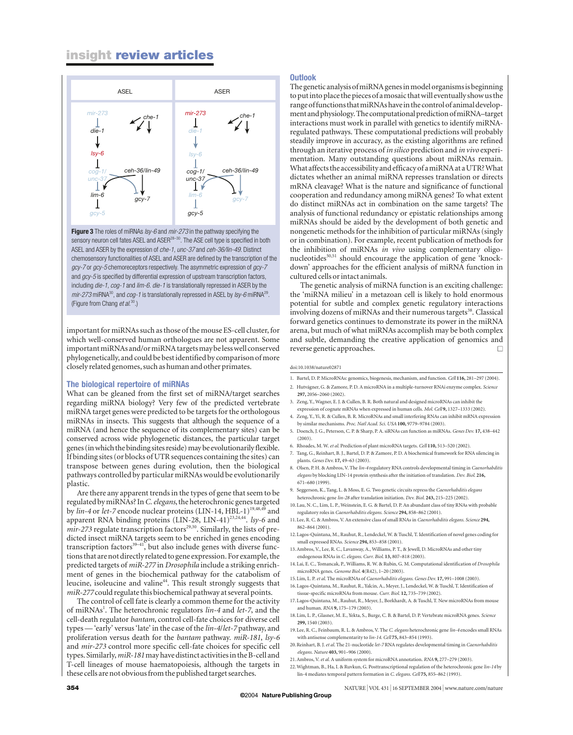# **insight review articles**



**Figure 3** The roles of miRNAs *lsy-6* and *mir-273* in the pathway specifying the sensory neuron cell fates ASEL and ASER<sup>28–30</sup>. The ASE cell type is specified in both ASEL and ASER by the expression of *che-1*, *unc-37* and *ceh-36/lin-49.* Distinct chemosensory functionalities of ASEL and ASER are defined by the transcription of the *gcy-7* or *gcy-5* chemoreceptors respectively. The asymmetric expression of *gcy-7* and *gcy-5* is specified by differential expression of upstream transcription factors, including *die-1*, *cog-1* and *lim-6*. *die-1* is translationally repressed in ASER by the *mir-273* miRNA30, and *cog-1* is translationally repressed in ASEL by *lsy-6* miRNA29. (Figure from Chang *et al*. 30.)

important for miRNAs such as those of the mouse ES-cell cluster, for which well-conserved human orthologues are not apparent. Some important miRNAs and/or miRNA targets may be less well conserved phylogenetically, and could be best identified by comparison of more closely related genomes, such as human and other primates.

#### **The biological repertoire of miRNAs**

What can be gleaned from the first set of miRNA/target searches regarding miRNA biology? Very few of the predicted vertebrate miRNA target genes were predicted to be targets for the orthologous miRNAs in insects. This suggests that although the sequence of a miRNA (and hence the sequence of its complementary sites) can be conserved across wide phylogenetic distances, the particular target genes (in which the binding sites reside) may be evolutionarily flexible. If binding sites (or blocks of UTR sequences containing the sites) can transpose between genes during evolution, then the biological pathways controlled by particular miRNAs would be evolutionarily plastic.

Are there any apparent trends in the types of gene that seem to be regulated by miRNAs? In *C. elegans*, the heterochronic genes targeted by *lin-4* or *let-7* encode nuclear proteins (LIN-14, HBL-1)<sup>19,48,49</sup> and apparent RNA binding proteins (LIN-28, LIN-41)<sup>23,24,44</sup>. *lsy-6* and *mir-273* regulate transcription factors<sup>29,30</sup>. Similarly, the lists of predicted insect miRNA targets seem to be enriched in genes encoding transcription factors<sup>39-41</sup>, but also include genes with diverse functions that are not directly related to gene expression. For example, the predicted targets of *miR-277* in *Drosophila* include a striking enrichment of genes in the biochemical pathway for the catabolism of leucine, isoleucine and valine44. This result strongly suggests that *miR-277* could regulate this biochemical pathway at several points.

The control of cell fate is clearly a common theme for the activity of miRNAs<sup>1</sup>. The heterochronic regulators *lin-4* and *let-7*, and the cell-death regulator *bantam*, control cell-fate choices for diverse cell types — 'early' versus 'late' in the case of the *lin-4*/*let-7* pathway, and proliferation versus death for the *bantam* pathway. *miR-181*, *lsy-6* and *mir-273* control more specific cell-fate choices for specific cell types. Similarly, *miR-181* may have distinct activities in the B-cell and T-cell lineages of mouse haematopoiesis, although the targets in these cells are not obvious from the published target searches.

#### **Outlook**

The genetic analysis of miRNA genes in model organisms is beginning toput into place the pieces of a mosaic that will eventually show us the range of functions that miRNAs have in the control of animal development and physiology. The computational prediction of miRNA–target interactions must work in parallel with genetics to identify miRNAregulated pathways. These computational predictions will probably steadily improve in accuracy, as the existing algorithms are refined through an iterative process of *in silico* prediction and *in vivo* experimentation. Many outstanding questions about miRNAs remain. What affects the accessibility and efficacy of a miRNA at a UTR? What dictates whether an animal miRNA represses translation or directs mRNA cleavage? What is the nature and significance of functional cooperation and redundancy among miRNA genes? To what extent do distinct miRNAs act in combination on the same targets? The analysis of functional redundancy or epistatic relationships among miRNAs should be aided by the development of both genetic and nongenetic methods for the inhibition of particular miRNAs (singly or in combination). For example, recent publication of methods for the inhibition of miRNAs *in vivo* using complementary oligonucleotides<sup>50,51</sup> should encourage the application of gene 'knockdown' approaches for the efficient analysis of miRNA function in cultured cells or intact animals.

The genetic analysis of miRNA function is an exciting challenge: the 'miRNA milieu' in a metazoan cell is likely to hold enormous potential for subtle and complex genetic regulatory interactions involving dozens of miRNAs and their numerous targets<sup>38</sup>. Classical forward genetics continues to demonstrate its power in the miRNA arena, but much of what miRNAs accomplish may be both complex and subtle, demanding the creative application of genomics and reverse genetic approaches. □

#### doi:10.1038/nature02871

- 1. Bartel, D. P. MicroRNAs: genomics, biogenesis, mechanism, and function. *Cell* **116,** 281–297 (2004).
- 2. Hutvágner, G. & Zamore, P. D. A microRNA in a multiple-turnover RNAi enzyme complex. *Science* **297,** 2056–2060 (2002).
- 3. Zeng, Y., Wagner, E. J. & Cullen, B. R. Both natural and designed microRNAs can inhibit the expression of cognate mRNAs when expressed in human cells. *Mol. Cell* **9,** 1327–1333 (2002).
- 4. Zeng, Y., Yi, R. & Cullen, B. R. MicroRNAs and small interfering RNAs can inhibit mRNA expression by similar mechanisms. *Proc. Natl Acad. Sci. USA* **100,** 9779–9784 (2003).
- 5. Doench, J. G., Peterson, C. P. & Sharp, P. A. siRNAs can function as miRNAs. *Genes Dev.* **17,** 438–442  $(2003)$
- 6. Rhoades, M. W. *et al*. Prediction of plant microRNA targets. *Cell* **110,** 513–520 (2002).
- 7. Tang, G., Reinhart, B. J., Bartel, D. P. & Zamore, P. D. A biochemical framework for RNA silencing in plants. *Genes Dev.* **17,** 49–63 (2003).
- 8. Olsen, P. H. & Ambros, V. The *lin-4* regulatory RNA controls developmental timing in *Caenorhabditis elegans* by blocking LIN-14 protein synthesis after the initiation of translation. *Dev. Biol.* **216,** 671–680 (1999).
- 9. Seggerson, K., Tang, L. & Moss, E. G. Two genetic circuits repress the *Caenorhabditis elegans* heterochronic gene *lin-28* after translation initiation. *Dev. Biol.* **243,** 215–225 (2002).
- 10.Lau, N. C., Lim, L. P., Weinstein, E. G. & Bartel, D. P. An abundant class of tiny RNAs with probable regulatory roles in *Caenorhabditis elegans*. *Science* **294,** 858–862 (2001).
- 11.Lee, R. C. & Ambros, V. An extensive class of small RNAs in *Caenorhabditis elegans*. *Science* **294,** 862–864 (2001).
- 12.Lagos-Quintana, M., Rauhut, R., Lendeckel, W. & Tuschl, T. Identification of novel genes coding for small expressed RNAs. *Science* **294,** 853–858 (2001).
- 13.Ambros, V., Lee, R. C., Lavanway, A., Williams, P. T., & Jewell, D. MicroRNAs and other tiny endogenous RNAs in *C. elegans*. *Curr. Biol*. **13,** 807–818 (2003).
- 14.Lai, E. C., Tomancak, P., Williams, R. W. & Rubin, G. M. Computational identification of *Drosophila* microRNA genes. *Genome Biol.* **4**(R42), 1–20 (2003).
- 15.Lim, L. P. *et al*. The microRNAs of *Caenorhabditis elegans*. *Genes Dev.* **17,** 991–1008 (2003).
- 16.Lagos-Quintana, M., Rauhut, R., Yalcin, A., Meyer, J., Lendeckel, W. & Tuschl, T. Identification of tissue-specific microRNAs from mouse. *Curr. Biol.* **12,** 735–739 (2002).
- 17.Lagos-Quintana, M., Rauhut, R., Meyer, J., Borkhardt, A. & Tuschl, T. New microRNAs from mouse and human. *RNA* **9,** 175–179 (2003).
- 18.Lim, L. P., Glasner, M. E., Yekta, S., Burge, C. B. & Bartel, D. P. Vertebrate microRNA genes. *Science* **299,** 1540 (2003).
- 19.Lee, R. C., Feinbaum, R. L. & Ambros, V. The *C. elegans* heterochronic gene *lin-4* encodes small RNAs with antisense complementarity to *lin-14*. *Cell* **75,** 843–854 (1993).
- 20.Reinhart, B. J. *et al*. The 21-nucleotide *let-7* RNA regulates developmental timing in *Caenorhabditis elegans*. *Nature* **403,** 901–906 (2000).
- 21.Ambros, V. *et al.* A uniform system for microRNA annotation. *RNA* **9,** 277–279 (2003).
- 22.Wightman, B., Ha, I. & Ruvkun, G. Posttranscriptional regulation of the heterochronic gene *lin-14* by lin-4 mediates temporal pattern formation in *C. elegans*. *Cell* **75,** 855–862 (1993).